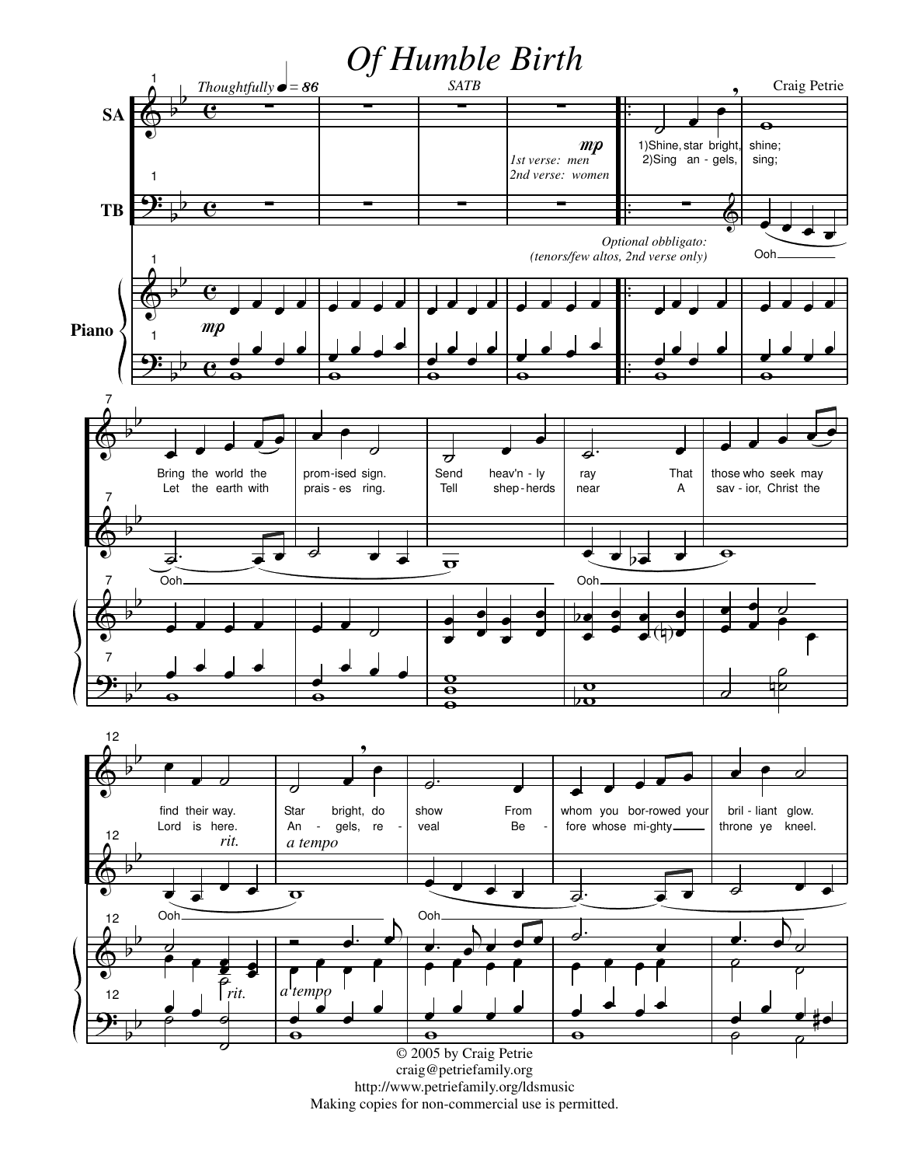

http://www.petriefamily.org/ldsmusic Making copies for non-commercial use is permitted.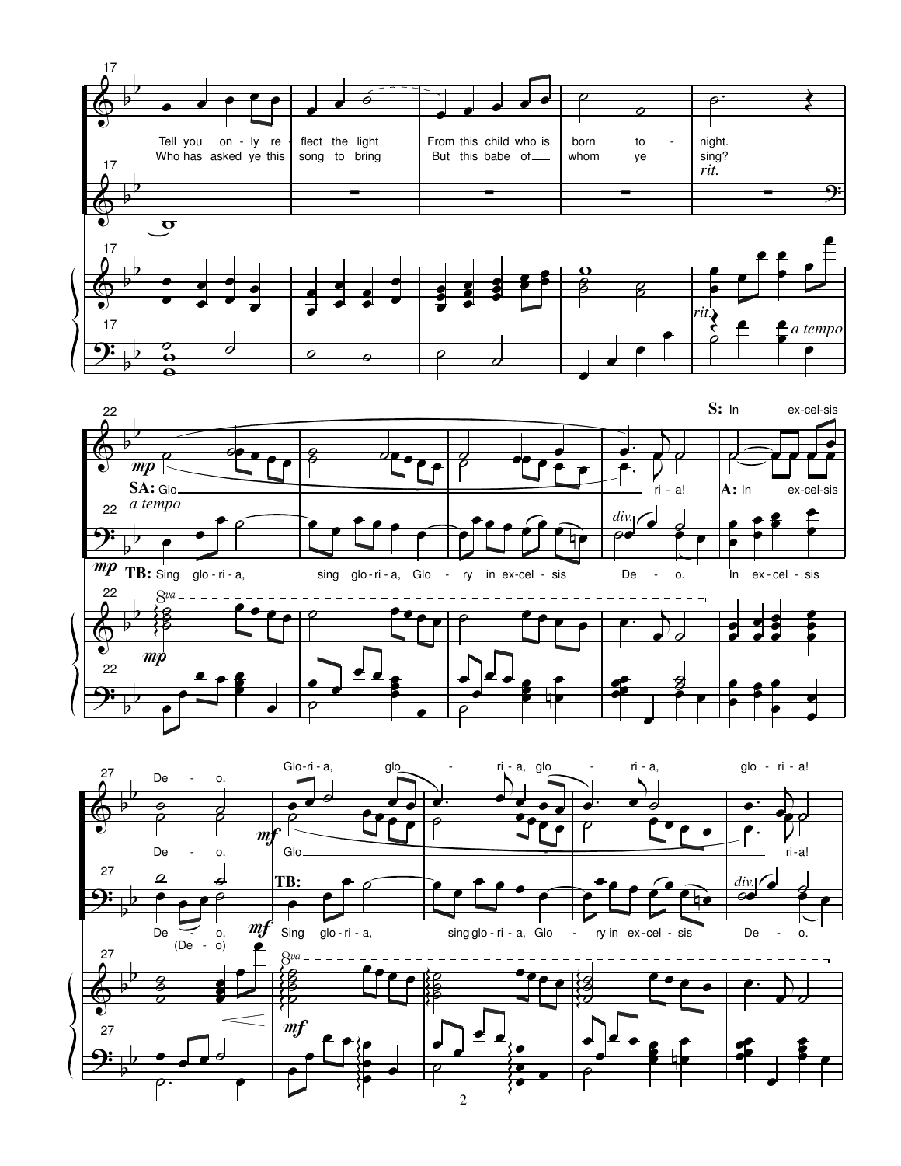



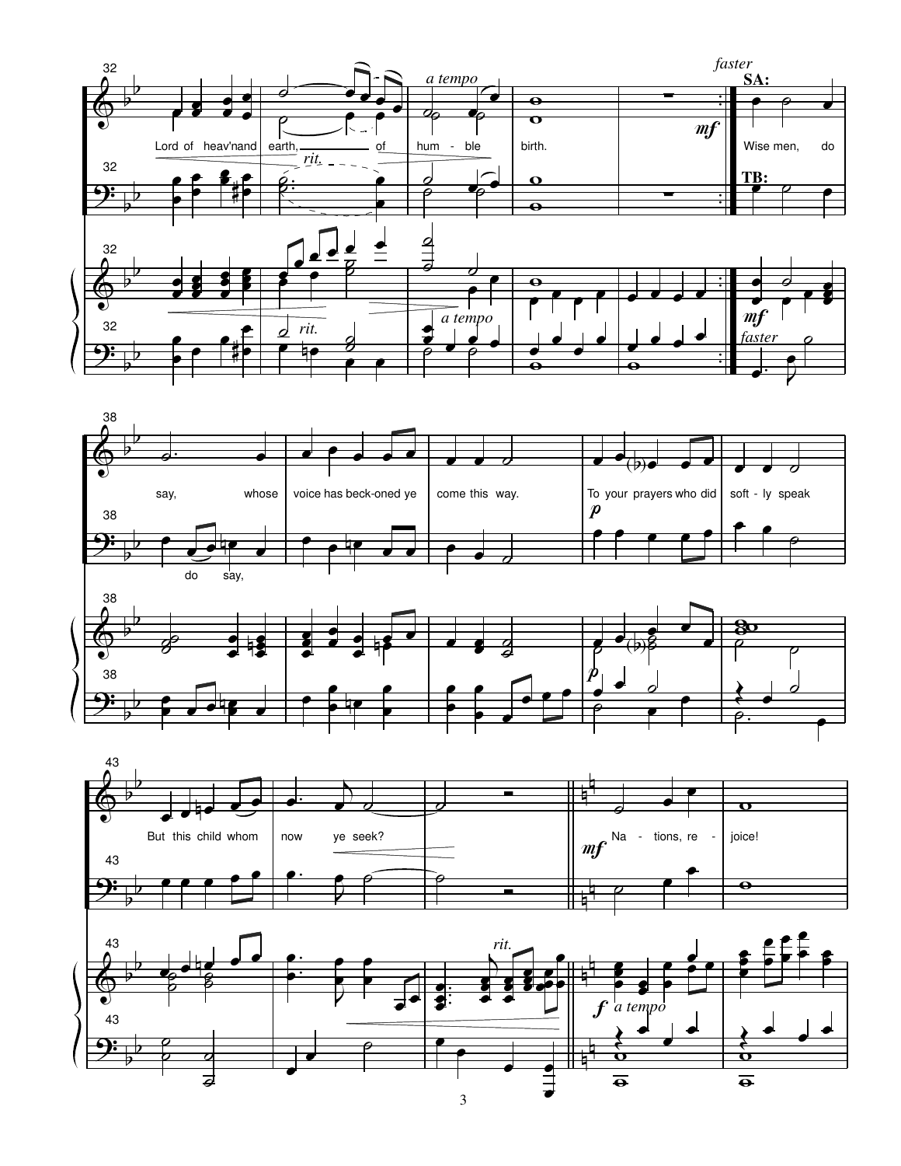





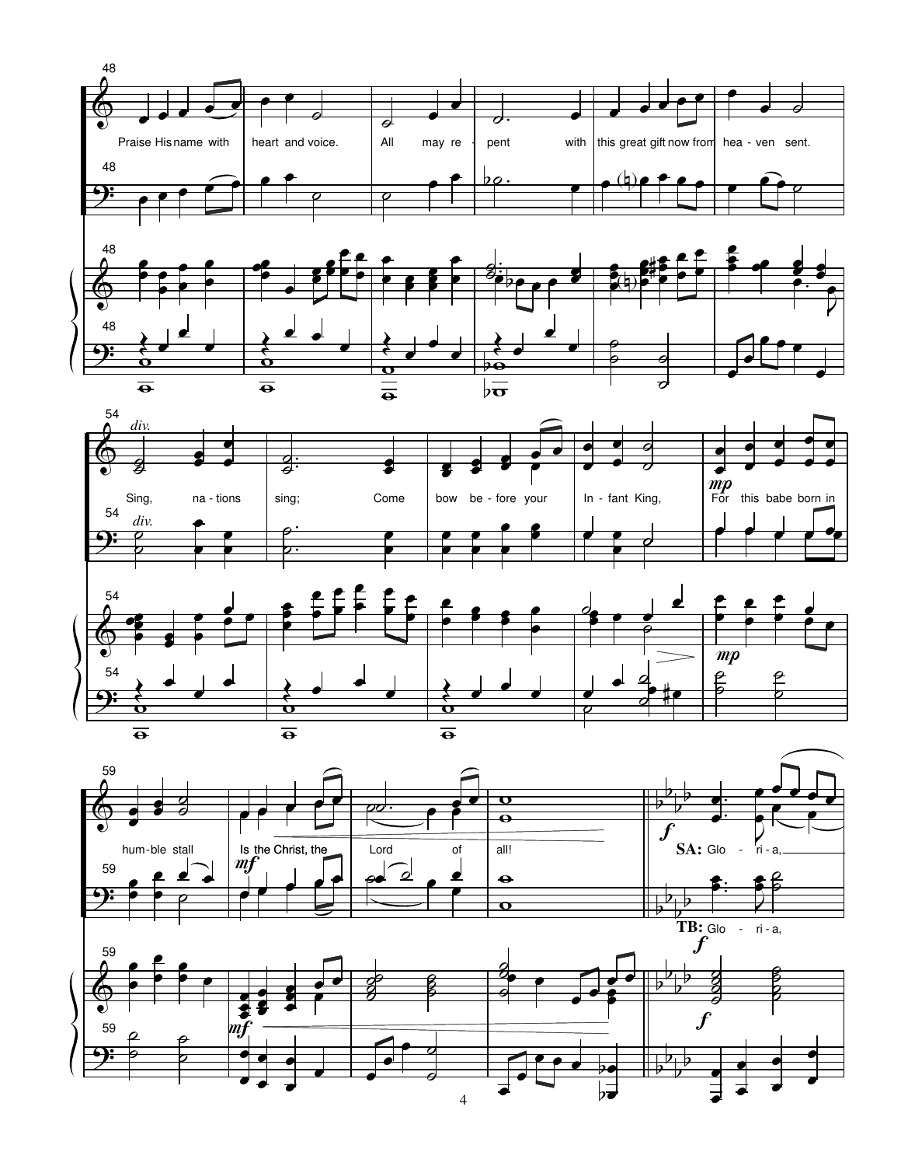